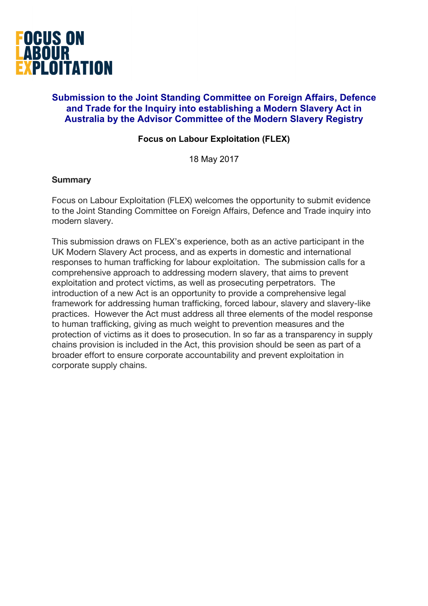

# **Submission to the Joint Standing Committee on Foreign Affairs, Defence and Trade for the Inquiry into establishing a Modern Slavery Act in Australia by the Advisor Committee of the Modern Slavery Registry**

## **Focus on Labour Exploitation (FLEX)**

18 May 2017

#### **Summary**

Focus on Labour Exploitation (FLEX) welcomes the opportunity to submit evidence to the Joint Standing Committee on Foreign Affairs, Defence and Trade inquiry into modern slavery.

This submission draws on FLEX's experience, both as an active participant in the UK Modern Slavery Act process, and as experts in domestic and international responses to human trafficking for labour exploitation. The submission calls for a comprehensive approach to addressing modern slavery, that aims to prevent exploitation and protect victims, as well as prosecuting perpetrators. The introduction of a new Act is an opportunity to provide a comprehensive legal framework for addressing human trafficking, forced labour, slavery and slavery-like practices. However the Act must address all three elements of the model response to human trafficking, giving as much weight to prevention measures and the protection of victims as it does to prosecution. In so far as a transparency in supply chains provision is included in the Act, this provision should be seen as part of a broader effort to ensure corporate accountability and prevent exploitation in corporate supply chains.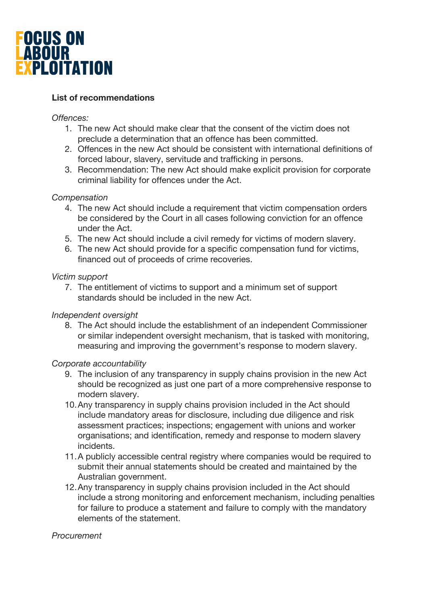

# **List of recommendations**

### *Offences:*

- 1. The new Act should make clear that the consent of the victim does not preclude a determination that an offence has been committed.
- 2. Offences in the new Act should be consistent with international definitions of forced labour, slavery, servitude and trafficking in persons.
- 3. Recommendation: The new Act should make explicit provision for corporate criminal liability for offences under the Act.

## *Compensation*

- 4. The new Act should include a requirement that victim compensation orders be considered by the Court in all cases following conviction for an offence under the Act.
- 5. The new Act should include a civil remedy for victims of modern slavery.
- 6. The new Act should provide for a specific compensation fund for victims, financed out of proceeds of crime recoveries.

## *Victim support*

7. The entitlement of victims to support and a minimum set of support standards should be included in the new Act.

#### *Independent oversight*

8. The Act should include the establishment of an independent Commissioner or similar independent oversight mechanism, that is tasked with monitoring, measuring and improving the government's response to modern slavery.

# *Corporate accountability*

- 9. The inclusion of any transparency in supply chains provision in the new Act should be recognized as just one part of a more comprehensive response to modern slavery.
- 10.Any transparency in supply chains provision included in the Act should include mandatory areas for disclosure, including due diligence and risk assessment practices; inspections; engagement with unions and worker organisations; and identification, remedy and response to modern slavery incidents.
- 11.A publicly accessible central registry where companies would be required to submit their annual statements should be created and maintained by the Australian government.
- 12.Any transparency in supply chains provision included in the Act should include a strong monitoring and enforcement mechanism, including penalties for failure to produce a statement and failure to comply with the mandatory elements of the statement.

#### *Procurement*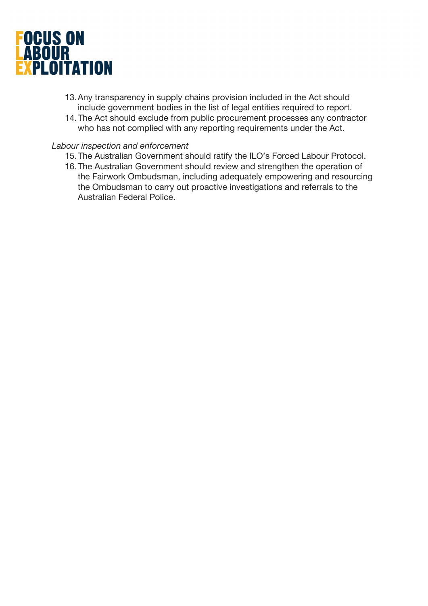

- 13.Any transparency in supply chains provision included in the Act should include government bodies in the list of legal entities required to report.
- 14.The Act should exclude from public procurement processes any contractor who has not complied with any reporting requirements under the Act.

#### *Labour inspection and enforcement*

- 15.The Australian Government should ratify the ILO's Forced Labour Protocol.
- 16.The Australian Government should review and strengthen the operation of the Fairwork Ombudsman, including adequately empowering and resourcing the Ombudsman to carry out proactive investigations and referrals to the Australian Federal Police.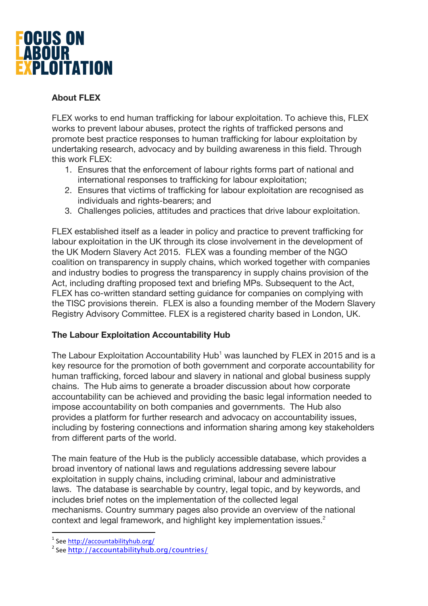

# **About FLEX**

FLEX works to end human trafficking for labour exploitation. To achieve this, FLEX works to prevent labour abuses, protect the rights of trafficked persons and promote best practice responses to human trafficking for labour exploitation by undertaking research, advocacy and by building awareness in this field. Through this work FLEX:

- 1. Ensures that the enforcement of labour rights forms part of national and international responses to trafficking for labour exploitation;
- 2. Ensures that victims of trafficking for labour exploitation are recognised as individuals and rights-bearers; and
- 3. Challenges policies, attitudes and practices that drive labour exploitation.

FLEX established itself as a leader in policy and practice to prevent trafficking for labour exploitation in the UK through its close involvement in the development of the UK Modern Slavery Act 2015. FLEX was a founding member of the NGO coalition on transparency in supply chains, which worked together with companies and industry bodies to progress the transparency in supply chains provision of the Act, including drafting proposed text and briefing MPs. Subsequent to the Act, FLEX has co-written standard setting guidance for companies on complying with the TISC provisions therein. FLEX is also a founding member of the Modern Slavery Registry Advisory Committee. FLEX is a registered charity based in London, UK.

# **The Labour Exploitation Accountability Hub**

The Labour Exploitation Accountability Hub<sup>1</sup> was launched by FLEX in 2015 and is a key resource for the promotion of both government and corporate accountability for human trafficking, forced labour and slavery in national and global business supply chains. The Hub aims to generate a broader discussion about how corporate accountability can be achieved and providing the basic legal information needed to impose accountability on both companies and governments. The Hub also provides a platform for further research and advocacy on accountability issues, including by fostering connections and information sharing among key stakeholders from different parts of the world.

The main feature of the Hub is the publicly accessible database, which provides a broad inventory of national laws and regulations addressing severe labour exploitation in supply chains, including criminal, labour and administrative laws. The database is searchable by country, legal topic, and by keywords, and includes brief notes on the implementation of the collected legal mechanisms. Country summary pages also provide an overview of the national context and legal framework, and highlight key implementation issues.<sup>2</sup>

<sup>&</sup>lt;sup>1</sup> See http://accountabilityhub.org/

<sup>&</sup>lt;sup>2</sup> See http://accountabilityhub.org/countries/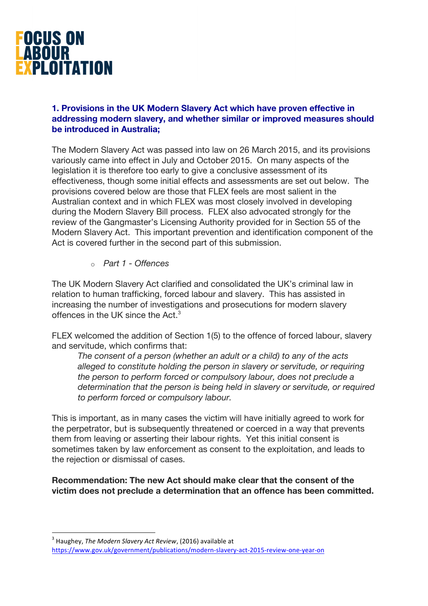

## **1. Provisions in the UK Modern Slavery Act which have proven effective in addressing modern slavery, and whether similar or improved measures should be introduced in Australia;**

The Modern Slavery Act was passed into law on 26 March 2015, and its provisions variously came into effect in July and October 2015. On many aspects of the legislation it is therefore too early to give a conclusive assessment of its effectiveness, though some initial effects and assessments are set out below. The provisions covered below are those that FLEX feels are most salient in the Australian context and in which FLEX was most closely involved in developing during the Modern Slavery Bill process. FLEX also advocated strongly for the review of the Gangmaster's Licensing Authority provided for in Section 55 of the Modern Slavery Act. This important prevention and identification component of the Act is covered further in the second part of this submission.

o *Part 1 - Offences*

The UK Modern Slavery Act clarified and consolidated the UK's criminal law in relation to human trafficking, forced labour and slavery. This has assisted in increasing the number of investigations and prosecutions for modern slavery offences in the UK since the Act.<sup>3</sup>

FLEX welcomed the addition of Section 1(5) to the offence of forced labour, slavery and servitude, which confirms that:

*The consent of a person (whether an adult or a child) to any of the acts alleged to constitute holding the person in slavery or servitude, or requiring the person to perform forced or compulsory labour, does not preclude a determination that the person is being held in slavery or servitude, or required to perform forced or compulsory labour.*

This is important, as in many cases the victim will have initially agreed to work for the perpetrator, but is subsequently threatened or coerced in a way that prevents them from leaving or asserting their labour rights. Yet this initial consent is sometimes taken by law enforcement as consent to the exploitation, and leads to the rejection or dismissal of cases.

**Recommendation: The new Act should make clear that the consent of the victim does not preclude a determination that an offence has been committed.** 

<sup>&</sup>lt;sup>3</sup> Haughey, *The Modern Slavery Act Review*, (2016) available at https://www.gov.uk/government/publications/modern-slavery-act-2015-review-one-year-on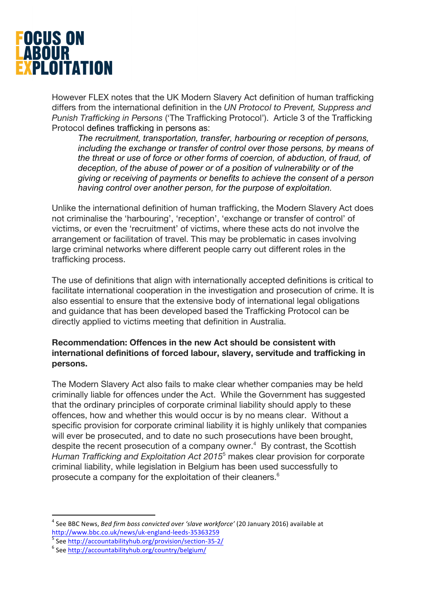

However FLEX notes that the UK Modern Slavery Act definition of human trafficking differs from the international definition in the *UN Protocol to Prevent, Suppress and Punish Trafficking in Persons* ('The Trafficking Protocol'). Article 3 of the Trafficking Protocol defines trafficking in persons as:

*The recruitment, transportation, transfer, harbouring or reception of persons, including the exchange or transfer of control over those persons, by means of the threat or use of force or other forms of coercion, of abduction, of fraud, of deception, of the abuse of power or of a position of vulnerability or of the giving or receiving of payments or benefits to achieve the consent of a person having control over another person, for the purpose of exploitation.*

Unlike the international definition of human trafficking, the Modern Slavery Act does not criminalise the 'harbouring', 'reception', 'exchange or transfer of control' of victims, or even the 'recruitment' of victims, where these acts do not involve the arrangement or facilitation of travel. This may be problematic in cases involving large criminal networks where different people carry out different roles in the trafficking process.

The use of definitions that align with internationally accepted definitions is critical to facilitate international cooperation in the investigation and prosecution of crime. It is also essential to ensure that the extensive body of international legal obligations and guidance that has been developed based the Trafficking Protocol can be directly applied to victims meeting that definition in Australia.

## **Recommendation: Offences in the new Act should be consistent with international definitions of forced labour, slavery, servitude and trafficking in persons.**

The Modern Slavery Act also fails to make clear whether companies may be held criminally liable for offences under the Act. While the Government has suggested that the ordinary principles of corporate criminal liability should apply to these offences, how and whether this would occur is by no means clear. Without a specific provision for corporate criminal liability it is highly unlikely that companies will ever be prosecuted, and to date no such prosecutions have been brought, despite the recent prosecution of a company owner. $4$  By contrast, the Scottish *Human Trafficking and Exploitation Act 2015*<sup>5</sup> makes clear provision for corporate criminal liability, while legislation in Belgium has been used successfully to prosecute a company for the exploitation of their cleaners.<sup>6</sup>

<sup>&</sup>lt;sup>4</sup> See BBC News, *Bed firm boss convicted over 'slave workforce'* (20 January 2016) available at http://www.bbc.co.uk/news/uk-england-leeds-35363259<br>
<sup>5</sup> See http://accountabilityhub.org/provision/section-35-2/<br>
<sup>6</sup> See http://accountabilityhub.org/country/belgium/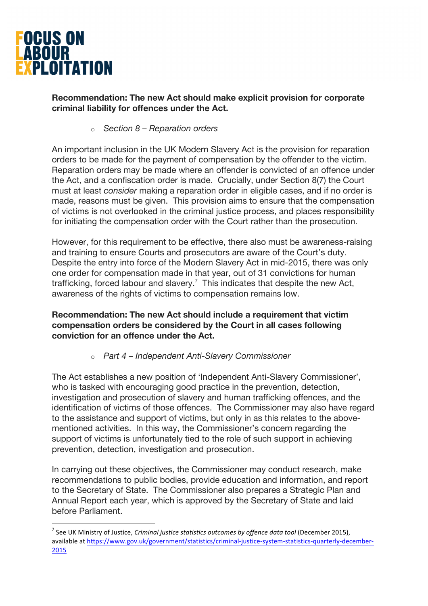

## **Recommendation: The new Act should make explicit provision for corporate criminal liability for offences under the Act.**

### o *Section 8 – Reparation orders*

An important inclusion in the UK Modern Slavery Act is the provision for reparation orders to be made for the payment of compensation by the offender to the victim. Reparation orders may be made where an offender is convicted of an offence under the Act, and a confiscation order is made. Crucially, under Section 8(7) the Court must at least *consider* making a reparation order in eligible cases, and if no order is made, reasons must be given. This provision aims to ensure that the compensation of victims is not overlooked in the criminal justice process, and places responsibility for initiating the compensation order with the Court rather than the prosecution.

However, for this requirement to be effective, there also must be awareness-raising and training to ensure Courts and prosecutors are aware of the Court's duty. Despite the entry into force of the Modern Slavery Act in mid-2015, there was only one order for compensation made in that year, out of 31 convictions for human trafficking, forced labour and slavery.<sup>7</sup> This indicates that despite the new Act, awareness of the rights of victims to compensation remains low.

## **Recommendation: The new Act should include a requirement that victim compensation orders be considered by the Court in all cases following conviction for an offence under the Act.**

# o *Part 4 – Independent Anti-Slavery Commissioner*

The Act establishes a new position of 'Independent Anti-Slavery Commissioner', who is tasked with encouraging good practice in the prevention, detection, investigation and prosecution of slavery and human trafficking offences, and the identification of victims of those offences. The Commissioner may also have regard to the assistance and support of victims, but only in as this relates to the abovementioned activities. In this way, the Commissioner's concern regarding the support of victims is unfortunately tied to the role of such support in achieving prevention, detection, investigation and prosecution.

In carrying out these objectives, the Commissioner may conduct research, make recommendations to public bodies, provide education and information, and report to the Secretary of State. The Commissioner also prepares a Strategic Plan and Annual Report each year, which is approved by the Secretary of State and laid before Parliament.

<sup>&</sup>lt;sup>7</sup> See UK Ministry of Justice, *Criminal justice statistics outcomes by offence data tool* (December 2015), available at https://www.gov.uk/government/statistics/criminal-justice-system-statistics-quarterly-december-2015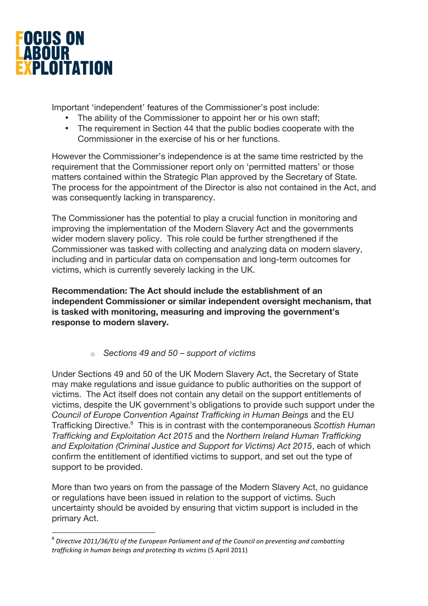

Important 'independent' features of the Commissioner's post include:

- The ability of the Commissioner to appoint her or his own staff;
- The requirement in Section 44 that the public bodies cooperate with the Commissioner in the exercise of his or her functions.

However the Commissioner's independence is at the same time restricted by the requirement that the Commissioner report only on 'permitted matters' or those matters contained within the Strategic Plan approved by the Secretary of State. The process for the appointment of the Director is also not contained in the Act, and was consequently lacking in transparency.

The Commissioner has the potential to play a crucial function in monitoring and improving the implementation of the Modern Slavery Act and the governments wider modern slavery policy. This role could be further strengthened if the Commissioner was tasked with collecting and analyzing data on modern slavery, including and in particular data on compensation and long-term outcomes for victims, which is currently severely lacking in the UK.

**Recommendation: The Act should include the establishment of an independent Commissioner or similar independent oversight mechanism, that is tasked with monitoring, measuring and improving the government's response to modern slavery.** 

o *Sections 49 and 50 – support of victims*

Under Sections 49 and 50 of the UK Modern Slavery Act, the Secretary of State may make regulations and issue guidance to public authorities on the support of victims. The Act itself does not contain any detail on the support entitlements of victims, despite the UK government's obligations to provide such support under the *Council of Europe Convention Against Trafficking in Human Beings* and the EU Trafficking Directive.<sup>8</sup> This is in contrast with the contemporaneous *Scottish Human Trafficking and Exploitation Act 2015* and the *Northern Ireland Human Trafficking and Exploitation (Criminal Justice and Support for Victims) Act 2015*, each of which confirm the entitlement of identified victims to support, and set out the type of support to be provided.

More than two years on from the passage of the Modern Slavery Act, no guidance or regulations have been issued in relation to the support of victims. Such uncertainty should be avoided by ensuring that victim support is included in the primary Act.

<sup>&</sup>lt;sup>8</sup> Directive 2011/36/EU of the European Parliament and of the Council on preventing and combatting *trafficking in human beings and protecting its victims* (5 April 2011)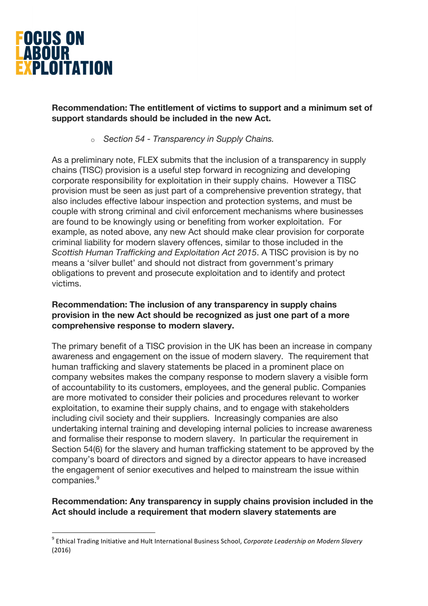

## **Recommendation: The entitlement of victims to support and a minimum set of support standards should be included in the new Act.**

o *Section 54 - Transparency in Supply Chains.* 

As a preliminary note, FLEX submits that the inclusion of a transparency in supply chains (TISC) provision is a useful step forward in recognizing and developing corporate responsibility for exploitation in their supply chains. However a TISC provision must be seen as just part of a comprehensive prevention strategy, that also includes effective labour inspection and protection systems, and must be couple with strong criminal and civil enforcement mechanisms where businesses are found to be knowingly using or benefiting from worker exploitation. For example, as noted above, any new Act should make clear provision for corporate criminal liability for modern slavery offences, similar to those included in the *Scottish Human Trafficking and Exploitation Act 2015*. A TISC provision is by no means a 'silver bullet' and should not distract from government's primary obligations to prevent and prosecute exploitation and to identify and protect victims.

## **Recommendation: The inclusion of any transparency in supply chains provision in the new Act should be recognized as just one part of a more comprehensive response to modern slavery.**

The primary benefit of a TISC provision in the UK has been an increase in company awareness and engagement on the issue of modern slavery. The requirement that human trafficking and slavery statements be placed in a prominent place on company websites makes the company response to modern slavery a visible form of accountability to its customers, employees, and the general public. Companies are more motivated to consider their policies and procedures relevant to worker exploitation, to examine their supply chains, and to engage with stakeholders including civil society and their suppliers. Increasingly companies are also undertaking internal training and developing internal policies to increase awareness and formalise their response to modern slavery. In particular the requirement in Section 54(6) for the slavery and human trafficking statement to be approved by the company's board of directors and signed by a director appears to have increased the engagement of senior executives and helped to mainstream the issue within companies.<sup>9</sup>

# **Recommendation: Any transparency in supply chains provision included in the Act should include a requirement that modern slavery statements are**

<sup>&</sup>lt;sup>9</sup> Ethical Trading Initiative and Hult International Business School, *Corporate Leadership on Modern Slavery* (2016)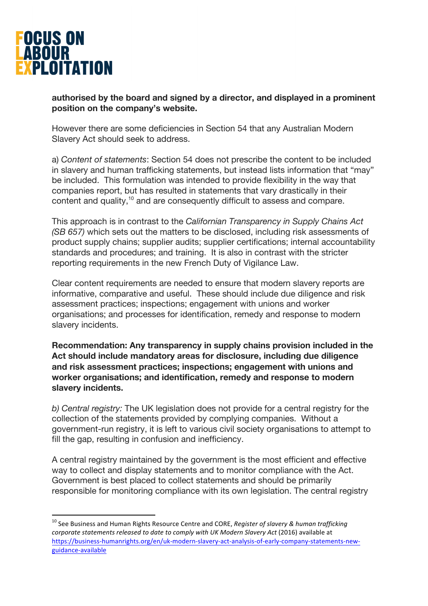

## **authorised by the board and signed by a director, and displayed in a prominent position on the company's website.**

However there are some deficiencies in Section 54 that any Australian Modern Slavery Act should seek to address.

a) *Content of statements*: Section 54 does not prescribe the content to be included in slavery and human trafficking statements, but instead lists information that "may" be included. This formulation was intended to provide flexibility in the way that companies report, but has resulted in statements that vary drastically in their content and quality,<sup>10</sup> and are consequently difficult to assess and compare.

This approach is in contrast to the *Californian Transparency in Supply Chains Act (SB 657)* which sets out the matters to be disclosed, including risk assessments of product supply chains; supplier audits; supplier certifications; internal accountability standards and procedures; and training. It is also in contrast with the stricter reporting requirements in the new French Duty of Vigilance Law.

Clear content requirements are needed to ensure that modern slavery reports are informative, comparative and useful. These should include due diligence and risk assessment practices; inspections; engagement with unions and worker organisations; and processes for identification, remedy and response to modern slavery incidents.

**Recommendation: Any transparency in supply chains provision included in the Act should include mandatory areas for disclosure, including due diligence and risk assessment practices; inspections; engagement with unions and worker organisations; and identification, remedy and response to modern slavery incidents.** 

*b) Central registry:* The UK legislation does not provide for a central registry for the collection of the statements provided by complying companies. Without a government-run registry, it is left to various civil society organisations to attempt to fill the gap, resulting in confusion and inefficiency.

A central registry maintained by the government is the most efficient and effective way to collect and display statements and to monitor compliance with the Act. Government is best placed to collect statements and should be primarily responsible for monitoring compliance with its own legislation. The central registry

<sup>&</sup>lt;sup>10</sup> See Business and Human Rights Resource Centre and CORE, *Register of slavery & human trafficking* corporate statements released to date to comply with UK Modern Slavery Act (2016) available at https://business-humanrights.org/en/uk-modern-slavery-act-analysis-of-early-company-statements-newguidance-available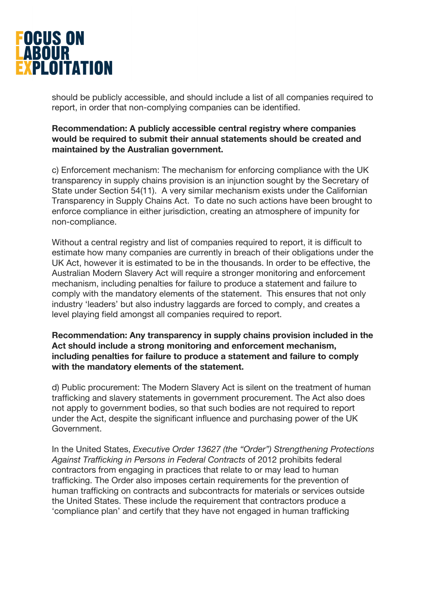

should be publicly accessible, and should include a list of all companies required to report, in order that non-complying companies can be identified.

**Recommendation: A publicly accessible central registry where companies would be required to submit their annual statements should be created and maintained by the Australian government.** 

c) Enforcement mechanism: The mechanism for enforcing compliance with the UK transparency in supply chains provision is an injunction sought by the Secretary of State under Section 54(11). A very similar mechanism exists under the Californian Transparency in Supply Chains Act. To date no such actions have been brought to enforce compliance in either jurisdiction, creating an atmosphere of impunity for non-compliance.

Without a central registry and list of companies required to report, it is difficult to estimate how many companies are currently in breach of their obligations under the UK Act, however it is estimated to be in the thousands. In order to be effective, the Australian Modern Slavery Act will require a stronger monitoring and enforcement mechanism, including penalties for failure to produce a statement and failure to comply with the mandatory elements of the statement. This ensures that not only industry 'leaders' but also industry laggards are forced to comply, and creates a level playing field amongst all companies required to report.

**Recommendation: Any transparency in supply chains provision included in the Act should include a strong monitoring and enforcement mechanism, including penalties for failure to produce a statement and failure to comply with the mandatory elements of the statement.** 

d) Public procurement: The Modern Slavery Act is silent on the treatment of human trafficking and slavery statements in government procurement. The Act also does not apply to government bodies, so that such bodies are not required to report under the Act, despite the significant influence and purchasing power of the UK Government.

In the United States, *Executive Order 13627 (the "Order") Strengthening Protections Against Trafficking in Persons in Federal Contracts* of 2012 prohibits federal contractors from engaging in practices that relate to or may lead to human trafficking. The Order also imposes certain requirements for the prevention of human trafficking on contracts and subcontracts for materials or services outside the United States. These include the requirement that contractors produce a 'compliance plan' and certify that they have not engaged in human trafficking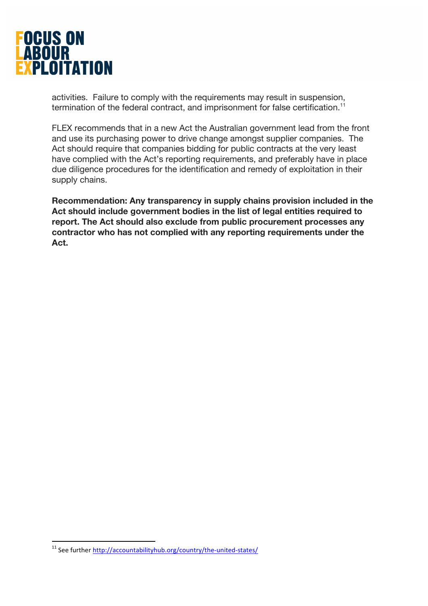

activities. Failure to comply with the requirements may result in suspension, termination of the federal contract, and imprisonment for false certification.<sup>11</sup>

FLEX recommends that in a new Act the Australian government lead from the front and use its purchasing power to drive change amongst supplier companies. The Act should require that companies bidding for public contracts at the very least have complied with the Act's reporting requirements, and preferably have in place due diligence procedures for the identification and remedy of exploitation in their supply chains.

**Recommendation: Any transparency in supply chains provision included in the Act should include government bodies in the list of legal entities required to report. The Act should also exclude from public procurement processes any contractor who has not complied with any reporting requirements under the Act.** 

<sup>&</sup>lt;sup>11</sup> See further http://accountabilityhub.org/country/the-united-states/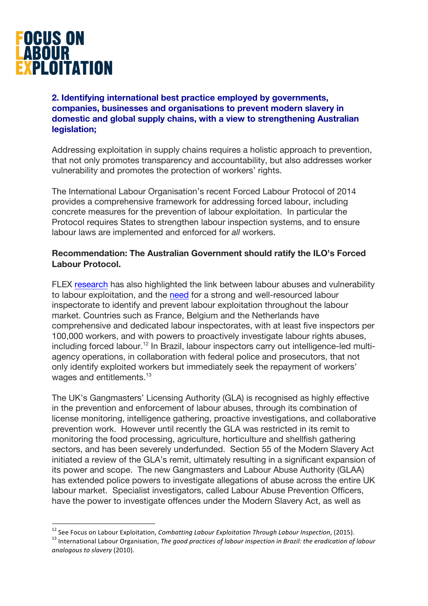

# **2. Identifying international best practice employed by governments, companies, businesses and organisations to prevent modern slavery in domestic and global supply chains, with a view to strengthening Australian legislation;**

Addressing exploitation in supply chains requires a holistic approach to prevention, that not only promotes transparency and accountability, but also addresses worker vulnerability and promotes the protection of workers' rights.

The International Labour Organisation's recent Forced Labour Protocol of 2014 provides a comprehensive framework for addressing forced labour, including concrete measures for the prevention of labour exploitation. In particular the Protocol requires States to strengthen labour inspection systems, and to ensure labour laws are implemented and enforced for *all* workers.

## **Recommendation: The Australian Government should ratify the ILO's Forced Labour Protocol.**

FLEX research has also highlighted the link between labour abuses and vulnerability to labour exploitation, and the need for a strong and well-resourced labour inspectorate to identify and prevent labour exploitation throughout the labour market. Countries such as France, Belgium and the Netherlands have comprehensive and dedicated labour inspectorates, with at least five inspectors per 100,000 workers, and with powers to proactively investigate labour rights abuses, including forced labour.<sup>12</sup> In Brazil, labour inspectors carry out intelligence-led multiagency operations, in collaboration with federal police and prosecutors, that not only identify exploited workers but immediately seek the repayment of workers' wages and entitlements.<sup>13</sup>

The UK's Gangmasters' Licensing Authority (GLA) is recognised as highly effective in the prevention and enforcement of labour abuses, through its combination of license monitoring, intelligence gathering, proactive investigations, and collaborative prevention work. However until recently the GLA was restricted in its remit to monitoring the food processing, agriculture, horticulture and shellfish gathering sectors, and has been severely underfunded. Section 55 of the Modern Slavery Act initiated a review of the GLA's remit, ultimately resulting in a significant expansion of its power and scope. The new Gangmasters and Labour Abuse Authority (GLAA) has extended police powers to investigate allegations of abuse across the entire UK labour market. Specialist investigators, called Labour Abuse Prevention Officers, have the power to investigate offences under the Modern Slavery Act, as well as

<sup>&</sup>lt;sup>12</sup> See Focus on Labour Exploitation, *Combatting Labour Exploitation Through Labour Inspection*, (2015).<br><sup>13</sup> International Labour Organisation, *The good practices of labour inspection in Brazil: the eradication of lab analogous to slavery* (2010).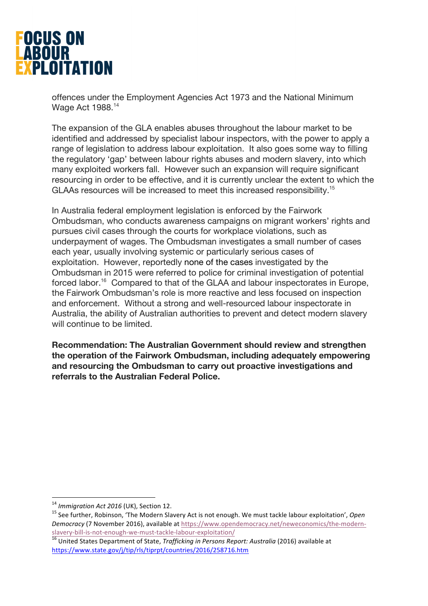

offences under the Employment Agencies Act 1973 and the National Minimum Wage Act 1988.<sup>14</sup>

The expansion of the GLA enables abuses throughout the labour market to be identified and addressed by specialist labour inspectors, with the power to apply a range of legislation to address labour exploitation. It also goes some way to filling the regulatory 'gap' between labour rights abuses and modern slavery, into which many exploited workers fall. However such an expansion will require significant resourcing in order to be effective, and it is currently unclear the extent to which the GLAAs resources will be increased to meet this increased responsibility.<sup>15</sup>

In Australia federal employment legislation is enforced by the Fairwork Ombudsman, who conducts awareness campaigns on migrant workers' rights and pursues civil cases through the courts for workplace violations, such as underpayment of wages. The Ombudsman investigates a small number of cases each year, usually involving systemic or particularly serious cases of exploitation. However, reportedly none of the cases investigated by the Ombudsman in 2015 were referred to police for criminal investigation of potential forced labor.<sup>16</sup> Compared to that of the GLAA and labour inspectorates in Europe, the Fairwork Ombudsman's role is more reactive and less focused on inspection and enforcement. Without a strong and well-resourced labour inspectorate in Australia, the ability of Australian authorities to prevent and detect modern slavery will continue to be limited.

**Recommendation: The Australian Government should review and strengthen the operation of the Fairwork Ombudsman, including adequately empowering and resourcing the Ombudsman to carry out proactive investigations and referrals to the Australian Federal Police.** 

<sup>&</sup>lt;sup>14</sup> Immigration Act 2016 (UK), Section 12.<br><sup>15</sup> See further, Robinson, 'The Modern Slavery Act is not enough. We must tackle labour exploitation', *Open Democracy* (7 November 2016), available at https://www.opendemocracy.net/neweconomics/the-modernslavery-bill-is-not-enough-we-must-tackle-labour-exploitation/<br><sup>16</sup> United States Department of State. *Trafficking in Persons Report: Australia* (2016) available at

https://www.state.gov/j/tip/rls/tiprpt/countries/2016/258716.htm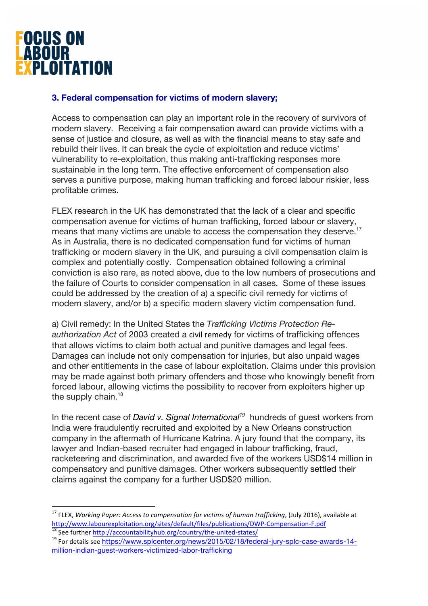

## **3. Federal compensation for victims of modern slavery;**

Access to compensation can play an important role in the recovery of survivors of modern slavery. Receiving a fair compensation award can provide victims with a sense of justice and closure, as well as with the financial means to stay safe and rebuild their lives. It can break the cycle of exploitation and reduce victims' vulnerability to re-exploitation, thus making anti-trafficking responses more sustainable in the long term. The effective enforcement of compensation also serves a punitive purpose, making human trafficking and forced labour riskier, less profitable crimes.

FLEX research in the UK has demonstrated that the lack of a clear and specific compensation avenue for victims of human trafficking, forced labour or slavery, means that many victims are unable to access the compensation they deserve. 17 As in Australia, there is no dedicated compensation fund for victims of human trafficking or modern slavery in the UK, and pursuing a civil compensation claim is complex and potentially costly. Compensation obtained following a criminal conviction is also rare, as noted above, due to the low numbers of prosecutions and the failure of Courts to consider compensation in all cases. Some of these issues could be addressed by the creation of a) a specific civil remedy for victims of modern slavery, and/or b) a specific modern slavery victim compensation fund.

a) Civil remedy: In the United States the *Trafficking Victims Protection Re*authorization Act of 2003 created a civil remedy for victims of trafficking offences that allows victims to claim both actual and punitive damages and legal fees. Damages can include not only compensation for injuries, but also unpaid wages and other entitlements in the case of labour exploitation. Claims under this provision may be made against both primary offenders and those who knowingly benefit from forced labour, allowing victims the possibility to recover from exploiters higher up the supply chain.<sup>18</sup>

In the recent case of *David v. Signal International<sup>19</sup>* hundreds of quest workers from India were fraudulently recruited and exploited by a New Orleans construction company in the aftermath of Hurricane Katrina. A jury found that the company, its lawyer and Indian-based recruiter had engaged in labour trafficking, fraud, racketeering and discrimination, and awarded five of the workers USD\$14 million in compensatory and punitive damages. Other workers subsequently settled their claims against the company for a further USD\$20 million.

<sup>&</sup>lt;sup>17</sup> FLEX, *Working Paper: Access to compensation for victims of human trafficking*, (July 2016), available at http://www.labourexploitation.org/sites/default/files/publications/DWP-Compensation-F.pdf <sup>18</sup> See further http://accountabilityhub.org/country/the-united-states/

<sup>&</sup>lt;sup>19</sup> For details see https://www.splcenter.org/news/2015/02/18/federal-jury-splc-case-awards-14million-indian-guest-workers-victimized-labor-trafficking